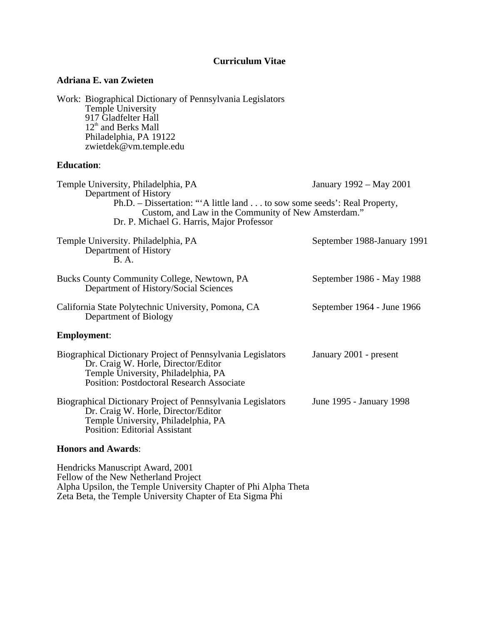# **Curriculum Vitae**

### **Adriana E. van Zwieten**

Work: Biographical Dictionary of Pennsylvania Legislators Temple University 917 Gladfelter Hall 12<sup>th</sup> and Berks Mall Philadelphia, PA 19122 zwietdek@vm.temple.edu

### **Education**:

| Temple University, Philadelphia, PA<br>Department of History<br>Ph.D. – Dissertation: "A little land to sow some seeds': Real Property,<br>Custom, and Law in the Community of New Amsterdam."<br>Dr. P. Michael G. Harris, Major Professor | January 1992 – May 2001     |
|---------------------------------------------------------------------------------------------------------------------------------------------------------------------------------------------------------------------------------------------|-----------------------------|
| Temple University. Philadelphia, PA<br>Department of History<br><b>B.A.</b>                                                                                                                                                                 | September 1988-January 1991 |
| Bucks County Community College, Newtown, PA<br>Department of History/Social Sciences                                                                                                                                                        | September 1986 - May 1988   |
| California State Polytechnic University, Pomona, CA<br>Department of Biology                                                                                                                                                                | September 1964 - June 1966  |
| <b>Employment:</b>                                                                                                                                                                                                                          |                             |
| Biographical Dictionary Project of Pennsylvania Legislators<br>Dr. Craig W. Horle, Director/Editor<br>Temple University, Philadelphia, PA<br><b>Position: Postdoctoral Research Associate</b>                                               | January 2001 - present      |
| Biographical Dictionary Project of Pennsylvania Legislators<br>Dr. Craig W. Horle, Director/Editor<br>Temple University, Philadelphia, PA<br><b>Position: Editorial Assistant</b>                                                           | June 1995 - January 1998    |

# **Honors and Awards**:

Hendricks Manuscript Award, 2001 Fellow of the New Netherland Project Alpha Upsilon, the Temple University Chapter of Phi Alpha Theta Zeta Beta, the Temple University Chapter of Eta Sigma Phi